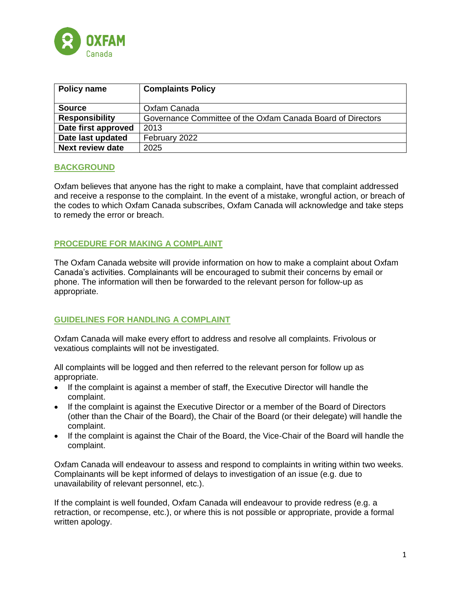

| <b>Policy name</b>      | <b>Complaints Policy</b>                                    |
|-------------------------|-------------------------------------------------------------|
|                         |                                                             |
| <b>Source</b>           | Oxfam Canada                                                |
| <b>Responsibility</b>   | Governance Committee of the Oxfam Canada Board of Directors |
| Date first approved     | 2013                                                        |
| Date last updated       | February 2022                                               |
| <b>Next review date</b> | 2025                                                        |

# **BACKGROUND**

Oxfam believes that anyone has the right to make a complaint, have that complaint addressed and receive a response to the complaint. In the event of a mistake, wrongful action, or breach of the codes to which Oxfam Canada subscribes, Oxfam Canada will acknowledge and take steps to remedy the error or breach.

# **PROCEDURE FOR MAKING A COMPLAINT**

The Oxfam Canada website will provide information on how to make a complaint about Oxfam Canada's activities. Complainants will be encouraged to submit their concerns by email or phone. The information will then be forwarded to the relevant person for follow-up as appropriate.

#### **GUIDELINES FOR HANDLING A COMPLAINT**

Oxfam Canada will make every effort to address and resolve all complaints. Frivolous or vexatious complaints will not be investigated.

All complaints will be logged and then referred to the relevant person for follow up as appropriate.

- If the complaint is against a member of staff, the Executive Director will handle the complaint.
- If the complaint is against the Executive Director or a member of the Board of Directors (other than the Chair of the Board), the Chair of the Board (or their delegate) will handle the complaint.
- If the complaint is against the Chair of the Board, the Vice-Chair of the Board will handle the complaint.

Oxfam Canada will endeavour to assess and respond to complaints in writing within two weeks. Complainants will be kept informed of delays to investigation of an issue (e.g. due to unavailability of relevant personnel, etc.).

If the complaint is well founded, Oxfam Canada will endeavour to provide redress (e.g. a retraction, or recompense, etc.), or where this is not possible or appropriate, provide a formal written apology.